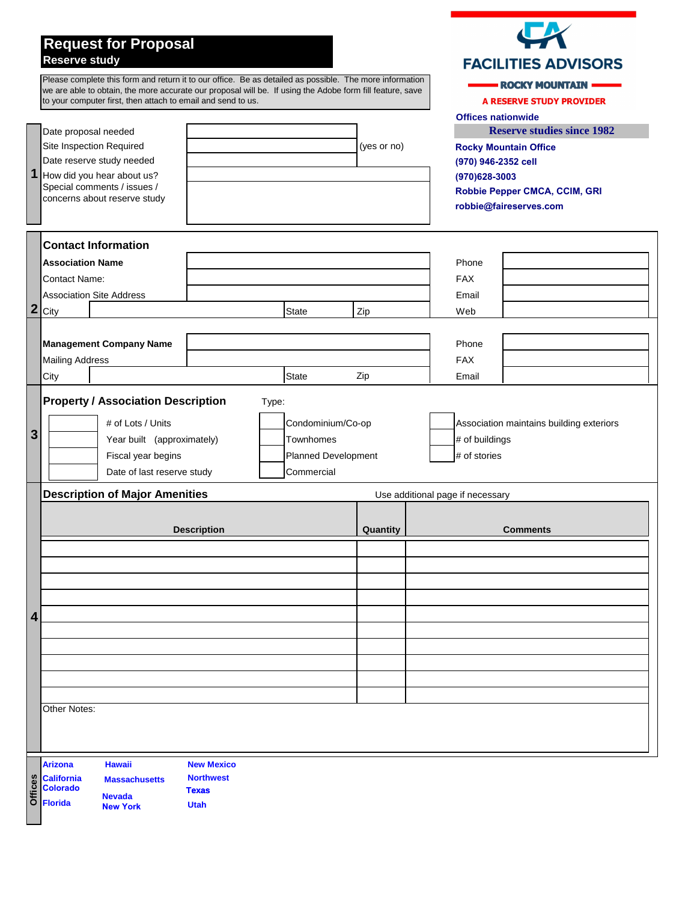## **Request for Proposal Reserve study**

## **Thank you for the opportunity to work with your Association!**

Please complete this form and return it to our office. Be as detailed as possible. The more information you can provide, the more accurate our proposal will be. If using the Adobe form fill feature, save to your computer first, fill it out, then attach to email and send to us. Thank you!

|                |                                                                                                                                          |                                     |                              |          |                |                                           | <b>Offices nationwide</b>         |
|----------------|------------------------------------------------------------------------------------------------------------------------------------------|-------------------------------------|------------------------------|----------|----------------|-------------------------------------------|-----------------------------------|
| 1              | Date proposal needed                                                                                                                     |                                     |                              |          |                |                                           | <b>Reserve studies since 1982</b> |
|                | Site Inspection Required                                                                                                                 | (yes or no)                         |                              |          |                |                                           | <b>Rocky Mountain Office</b>      |
|                | Date reserve study needed<br>How did you hear about us?<br>Special comments / issues /                                                   |                                     |                              |          |                |                                           | (970) 946-2352 cell               |
|                |                                                                                                                                          |                                     |                              |          |                | (970)628-3003                             |                                   |
|                | concerns about reserve study                                                                                                             |                                     |                              |          |                |                                           | Robbie Pepper CMCA, CCIM, GRI     |
|                |                                                                                                                                          |                                     |                              |          |                |                                           | robbie@faireserves.com            |
|                |                                                                                                                                          |                                     |                              |          |                |                                           |                                   |
|                | <b>Contact Information</b>                                                                                                               |                                     |                              |          |                |                                           |                                   |
| $\overline{2}$ | <b>Association Name</b>                                                                                                                  |                                     |                              |          |                | Phone                                     |                                   |
|                | <b>Contact Name:</b>                                                                                                                     |                                     |                              |          | <b>FAX</b>     |                                           |                                   |
|                | <b>Association Site Address</b>                                                                                                          |                                     |                              |          |                | Email                                     |                                   |
|                | City                                                                                                                                     |                                     | <b>State</b>                 | Zip      |                | Web                                       |                                   |
|                |                                                                                                                                          |                                     |                              |          |                |                                           |                                   |
|                | <b>Management Company Name</b>                                                                                                           |                                     |                              |          |                | Phone                                     |                                   |
|                | <b>Mailing Address</b>                                                                                                                   |                                     |                              |          |                | <b>FAX</b>                                |                                   |
|                | City                                                                                                                                     |                                     | <b>State</b>                 | Zip      |                | Email                                     |                                   |
|                | <b>Property / Association Description</b>                                                                                                | Type:                               |                              |          |                |                                           |                                   |
| 3              |                                                                                                                                          |                                     |                              |          |                |                                           |                                   |
|                | # of Lots / Units<br>Condominium/Co-op                                                                                                   |                                     |                              |          |                | Association maintains building exteriors? |                                   |
|                | Year built (approximately)<br>Townhomes                                                                                                  |                                     |                              |          | # of buildings |                                           |                                   |
|                | Fiscal year begins                                                                                                                       |                                     | Planned Development          |          |                | # of stories                              |                                   |
|                |                                                                                                                                          |                                     |                              |          |                |                                           |                                   |
|                | Date of last reserve study                                                                                                               |                                     | Commercial                   |          |                |                                           |                                   |
|                | <b>Description of Major Amenities</b>                                                                                                    |                                     |                              |          |                | Use additional page if necessary          |                                   |
|                |                                                                                                                                          |                                     |                              |          |                |                                           |                                   |
|                |                                                                                                                                          | <b>Description</b>                  |                              | Quantity |                |                                           | <b>Comments</b>                   |
|                |                                                                                                                                          |                                     |                              |          |                |                                           |                                   |
|                |                                                                                                                                          |                                     |                              |          |                |                                           |                                   |
|                |                                                                                                                                          |                                     |                              |          |                |                                           |                                   |
|                |                                                                                                                                          |                                     |                              |          |                |                                           |                                   |
| 4              |                                                                                                                                          |                                     |                              |          |                |                                           |                                   |
|                |                                                                                                                                          |                                     |                              |          |                |                                           |                                   |
|                |                                                                                                                                          |                                     |                              |          |                |                                           |                                   |
|                |                                                                                                                                          |                                     |                              |          |                |                                           |                                   |
|                |                                                                                                                                          |                                     |                              |          |                |                                           |                                   |
|                |                                                                                                                                          |                                     |                              |          |                |                                           |                                   |
|                | Beginning Balance as of January 1st next year: _________________________________                                                         |                                     |                              |          |                |                                           |                                   |
|                |                                                                                                                                          |                                     |                              |          |                |                                           |                                   |
|                | Total dollar contribution from the Association into a separate Reserve Fund account (not operating account), either monthly or annually: |                                     |                              |          |                |                                           |                                   |
|                | Monthly $\frac{1}{2}$ Monthly $\frac{1}{2}$                                                                                              |                                     | or Annually \$               |          |                |                                           |                                   |
|                |                                                                                                                                          |                                     |                              |          |                |                                           |                                   |
| <b>Offices</b> | Arizona California Colorado Florida<br><b>New Mexico</b><br>Nevada New York                                                              | Hawaii<br><b>Northwest</b><br>Texas | <b>Massachusetts</b><br>Utah |          |                |                                           |                                   |